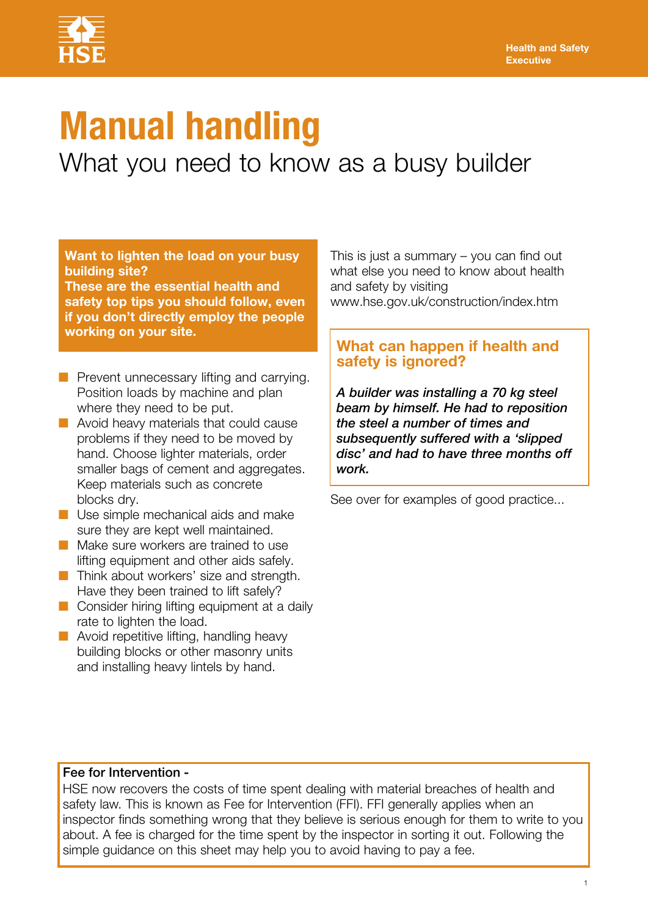

# **Manual handling**

What you need to know as a busy builder

**Want to lighten the load on your busy building site?** 

**These are the essential health and safety top tips you should follow, even if you don't directly employ the people working on your site.**

- $\blacksquare$  Prevent unnecessary lifting and carrying. Position loads by machine and plan where they need to be put.
- $\blacksquare$  Avoid heavy materials that could cause problems if they need to be moved by hand. Choose lighter materials, order smaller bags of cement and aggregates. Keep materials such as concrete blocks dry.
- $\blacksquare$  Use simple mechanical aids and make sure they are kept well maintained.
- **n** Make sure workers are trained to use lifting equipment and other aids safely.
- $\blacksquare$  Think about workers' size and strength. Have they been trained to lift safely?
- $\blacksquare$  Consider hiring lifting equipment at a daily rate to lighten the load.
- $\blacksquare$  Avoid repetitive lifting, handling heavy building blocks or other masonry units and installing heavy lintels by hand.

This is just a summary – you can find out what else you need to know about health and safety by visiting [www.hse.gov.uk/construction/index.htm](http://www.hse.gov.uk/construction/index.htm)

### **What can happen if health and safety is ignored?**

*A builder was installing a 70 kg steel beam by himself. He had to reposition the steel a number of times and subsequently suffered with a 'slipped disc' and had to have three months off work.*

See over for examples of good practice...

### Fee for Intervention -

HSE now recovers the costs of time spent dealing with material breaches of health and safety law. This is known as Fee for Intervention (FFI). FFI generally applies when an inspector finds something wrong that they believe is serious enough for them to write to you about. A fee is charged for the time spent by the inspector in sorting it out. Following the simple guidance on this sheet may help you to avoid having to pay a fee.